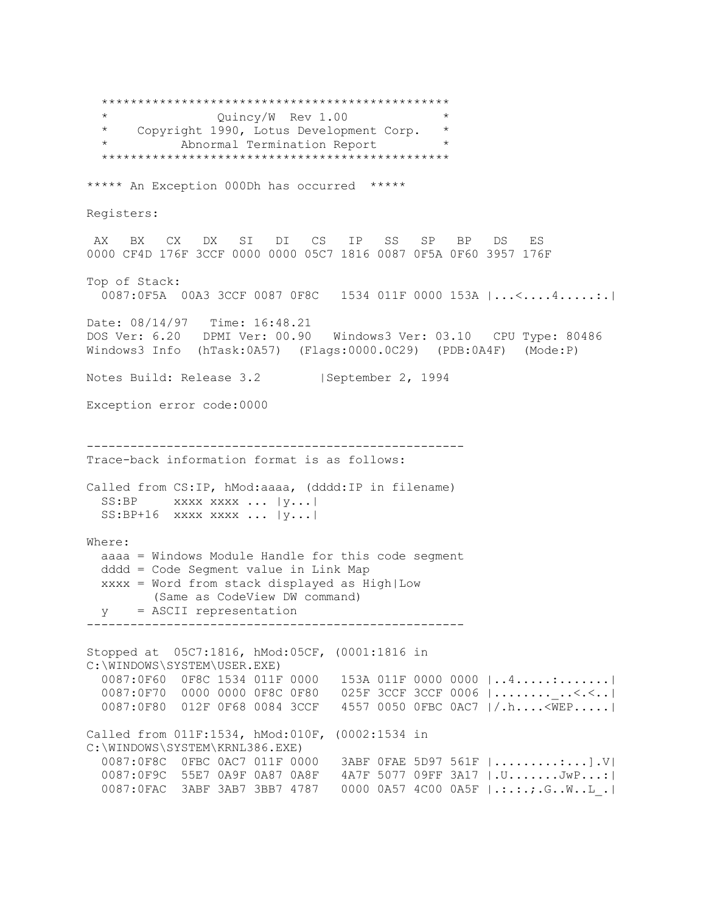\*\*\*\*\*\*\*\*\*\*\*\*\*\*\*\*\*\*\*\*\*\*\*\*\*\*\*\*\*\*\*\*\*\*\*\*\*\*\*\*\*\*\*\*\*\*\*\* \* Quincy/W Rev 1.00 \* \* Copyright 1990, Lotus Development Corp. \* Abnormal Termination Report \*\*\*\*\*\*\*\*\*\*\*\*\*\*\*\*\*\*\*\*\*\*\*\*\*\*\*\*\*\*\*\*\*\*\*\*\*\*\*\*\*\*\*\*\*\*\*\* \*\*\*\*\* An Exception 000Dh has occurred \*\*\*\*\* Registers: AX BX CX DX SI DI CS IP SS SP BP DS ES 0000 CF4D 176F 3CCF 0000 0000 05C7 1816 0087 0F5A 0F60 3957 176F Top of Stack: 0087:0F5A 00A3 3CCF 0087 0F8C 1534 011F 0000 153A |...<....4.....:.| Date: 08/14/97 Time: 16:48.21 DOS Ver: 6.20 DPMI Ver: 00.90 Windows3 Ver: 03.10 CPU Type: 80486 Windows3 Info (hTask:0A57) (Flags:0000.0C29) (PDB:0A4F) (Mode:P) Notes Build: Release 3.2 | September 2, 1994 Exception error code:0000 ---------------------------------------------------- Trace-back information format is as follows: Called from CS:IP, hMod:aaaa, (dddd:IP in filename) SS:BP xxxx xxxx ... | y... | SS:BP+16 xxxx xxxx ... |y...| Where: aaaa = Windows Module Handle for this code segment dddd = Code Segment value in Link Map xxxx = Word from stack displayed as High|Low (Same as CodeView DW command) y = ASCII representation ---------------------------------------------------- Stopped at 05C7:1816, hMod:05CF, (0001:1816 in C:\WINDOWS\SYSTEM\USER.EXE) 0087:0F60 0F8C 1534 011F 0000 153A 011F 0000 0000  $|...4............|$ 0087:0F70 0000 0000 0F8C 0F80 025F 3CCF 3CCF 0006 |............<.<..| 0087:0F80 012F 0F68 0084 3CCF 4557 0050 0FBC 0AC7 |/.h....<WEP.....| Called from 011F:1534, hMod:010F, (0002:1534 in C:\WINDOWS\SYSTEM\KRNL386.EXE) 0087:0F8C 0FBC 0AC7 011F 0000 3ABF 0FAE 5D97 561F |.........:...].V| 0087:0F9C 55E7 0A9F 0A87 0A8F 4A7F 5077 09FF 3A17 |.U.......JwP...:| 0087:0FAC 3ABF 3AB7 3BB7 4787 0000 0A57 4C00 0A5F |.:.:.;.G..W..L\_.|